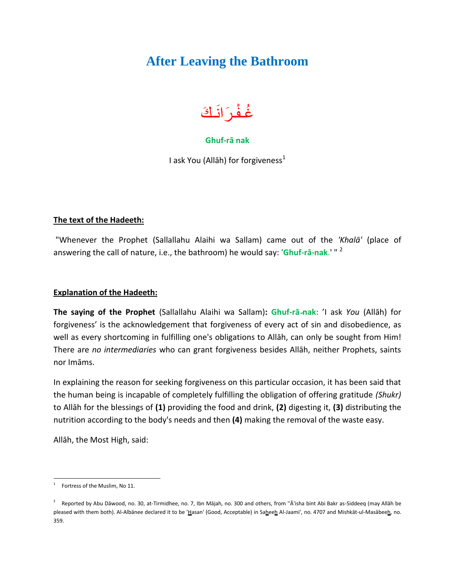## **After Leaving the Bathroom**



### **Ghuf-rā nak**

I ask You (Allāh) for forgiveness $<sup>1</sup>$ </sup>

#### **The text of the Hadeeth:**

"Whenever the Prophet (Sallallahu Alaihi wa Sallam) came out of the *'Khalā'* (place of answering the call of nature, i.e., the bathroom) he would say: **'Ghuf-rā-nak**.' " <sup>2</sup>

#### **Explanation of the Hadeeth:**

**The saying of the Prophet** (Sallallahu Alaihi wa Sallam)**: Ghuf-rā-nak:** 'I ask *You* (Allāh) for forgiveness' is the acknowledgement that forgiveness of every act of sin and disobedience, as well as every shortcoming in fulfilling one's obligations to Allāh, can only be sought from Him! There are *no intermediaries* who can grant forgiveness besides Allāh, neither Prophets, saints nor Imāms.

In explaining the reason for seeking forgiveness on this particular occasion, it has been said that the human being is incapable of completely fulfilling the obligation of offering gratitude *(Shukr)* to Allāh for the blessings of **(1)** providing the food and drink, **(2)** digesting it, **(3)** distributing the nutrition according to the body's needs and then **(4)** making the removal of the waste easy.

Allāh, the Most High, said:

 $\overline{a}$ 1 Fortress of the Muslim, No 11.

 $^2$  Reported by Abu Dāwood, no. 30, at-Tirmidhee, no. 7, Ibn Mājah, no. 300 and others, from "Ā'isha bint Abi Bakr as-Siddeeq (may Allāh be pleased with them both). Al-Albānee declared it to be 'Hasan' (Good, Acceptable) in Saheeh Al-Jaami', no. 4707 and Mishkāt-ul-Masābeeh, no. 359.